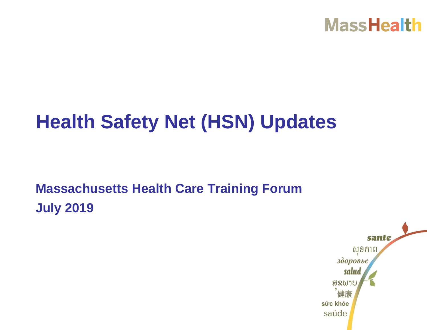

# **Health Safety Net (HSN) Updates**

# **Massachusetts Health Care Training Forum July 2019**

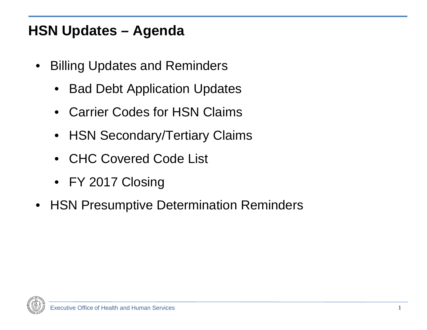#### **HSN Updates – Agenda**

- Billing Updates and Reminders
	- Bad Debt Application Updates
	- Carrier Codes for HSN Claims
	- HSN Secondary/Tertiary Claims
	- CHC Covered Code List
	- FY 2017 Closing
- HSN Presumptive Determination Reminders

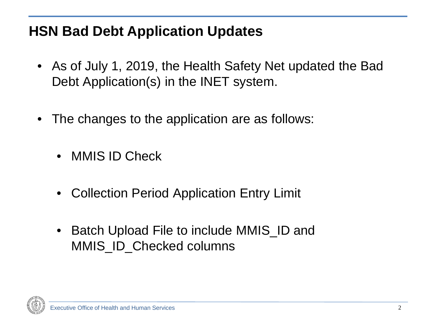#### **HSN Bad Debt Application Updates**

- As of July 1, 2019, the Health Safety Net updated the Bad Debt Application(s) in the INET system.
- The changes to the application are as follows:
	- MMIS ID Check
	- Collection Period Application Entry Limit
	- Batch Upload File to include MMIS\_ID and MMIS ID Checked columns

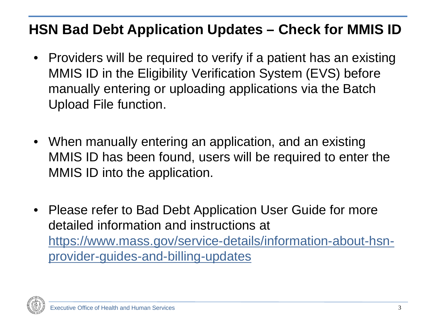#### **HSN Bad Debt Application Updates – Check for MMIS ID**

- Providers will be required to verify if a patient has an existing MMIS ID in the Eligibility Verification System (EVS) before manually entering or uploading applications via the Batch Upload File function.
- When manually entering an application, and an existing MMIS ID has been found, users will be required to enter the MMIS ID into the application.
- Please refer to Bad Debt Application User Guide for more detailed information and instructions at [https://www.mass.gov/service-details/information-about-hsn](https://www.mass.gov/service-details/information-about-hsn-provider-guides-and-billing-updates)provider-guides-and-billing-updates

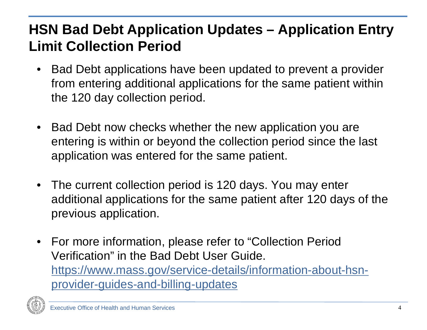# **HSN Bad Debt Application Updates – Application Entry Limit Collection Period**

- Bad Debt applications have been updated to prevent a provider from entering additional applications for the same patient within the 120 day collection period.
- Bad Debt now checks whether the new application you are entering is within or beyond the collection period since the last application was entered for the same patient.
- The current collection period is 120 days. You may enter additional applications for the same patient after 120 days of the previous application.
- For more information, please refer to "Collection Period" Verification" in the Bad Debt User Guide. [https://www.mass.gov/service-details/information-about-hsn](https://www.mass.gov/service-details/information-about-hsn-provider-guides-and-billing-updates)provider-guides-and-billing-updates

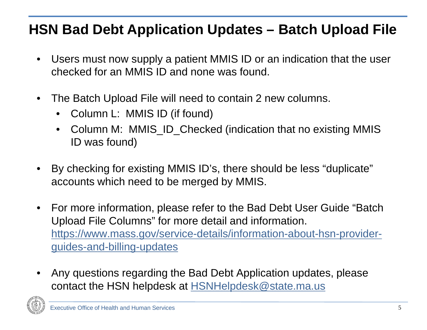#### **HSN Bad Debt Application Updates – Batch Upload File**

- Users must now supply a patient MMIS ID or an indication that the user checked for an MMIS ID and none was found.
- The Batch Upload File will need to contain 2 new columns.
	- Column L: MMIS ID (if found)
	- Column M: MMIS\_ID\_Checked (indication that no existing MMIS ID was found)
- By checking for existing MMIS ID's, there should be less "duplicate" accounts which need to be merged by MMIS.
- For more information, please refer to the Bad Debt User Guide "Batch Upload File Columns" for more detail and information. [https://www.mass.gov/service-details/information-about-hsn-provider](https://www.mass.gov/service-details/information-about-hsn-provider-guides-and-billing-updates)guides-and-billing-updates
- Any questions regarding the Bad Debt Application updates, please contact the HSN helpdesk at **HSNHelpdesk@state.ma.us**

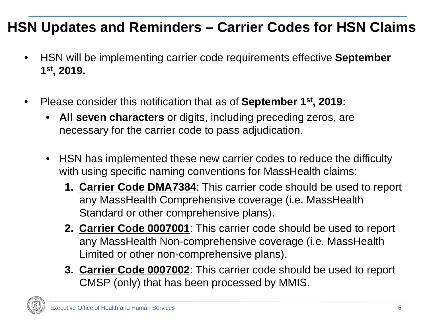#### **HSN Updates and Reminders – Carrier Codes for HSN Claims**

- HSN will be implementing carrier code requirements effective **September 1st, 2019.**
- Please consider this notification that as of **September 1st, 2019:**
	- **All seven characters** or digits, including preceding zeros, are necessary for the carrier code to pass adjudication.
	- HSN has implemented these new carrier codes to reduce the difficulty with using specific naming conventions for MassHealth claims:
		- **1. Carrier Code DMA7384**: This carrier code should be used to report any MassHealth Comprehensive coverage (i.e. MassHealth Standard or other comprehensive plans).
		- **2. Carrier Code 0007001**: This carrier code should be used to report any MassHealth Non-comprehensive coverage (i.e. MassHealth Limited or other non-comprehensive plans).
		- **3. Carrier Code 0007002**: This carrier code should be used to report CMSP (only) that has been processed by MMIS.

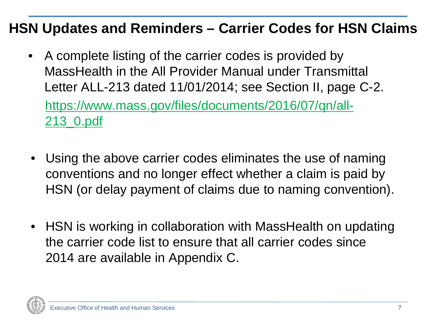#### **HSN Updates and Reminders – Carrier Codes for HSN Claims**

- A complete listing of the carrier codes is provided by MassHealth in the All Provider Manual under Transmittal Letter ALL-213 dated 11/01/2014; see Section II, page C-2. [https://www.mass.gov/files/documents/2016/07/qn/all-](https://www.mass.gov/files/documents/2016/07/qn/all-213_0.pdf)213\_0.pdf
- Using the above carrier codes eliminates the use of naming conventions and no longer effect whether a claim is paid by HSN (or delay payment of claims due to naming convention).
- HSN is working in collaboration with MassHealth on updating the carrier code list to ensure that all carrier codes since 2014 are available in Appendix C.

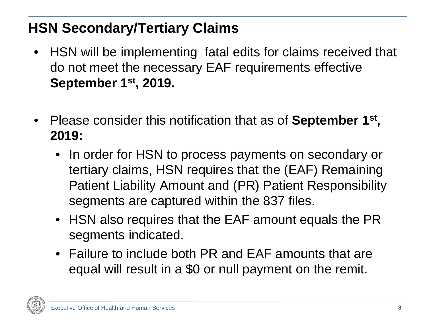# **HSN Secondary/Tertiary Claims**

- HSN will be implementing fatal edits for claims received that do not meet the necessary EAF requirements effective **September 1st, 2019.**
- Please consider this notification that as of **September 1st , 2019:**
	- In order for HSN to process payments on secondary or tertiary claims, HSN requires that the (EAF) Remaining Patient Liability Amount and (PR) Patient Responsibility segments are captured within the 837 files.
	- HSN also requires that the EAF amount equals the PR segments indicated.
	- Failure to include both PR and EAF amounts that are equal will result in a \$0 or null payment on the remit.

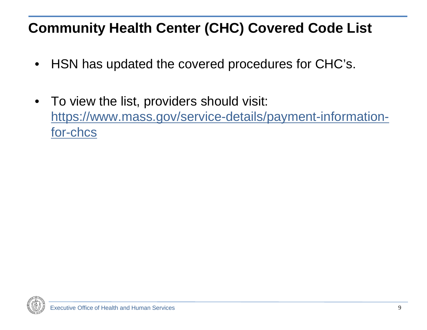# **Community Health Center (CHC) Covered Code List**

- HSN has updated the covered procedures for CHC's.
- To view the list, providers should visit: [https://www.mass.gov/service-details/payment-information](https://www.mass.gov/service-details/payment-information-for-chcs)for-chcs

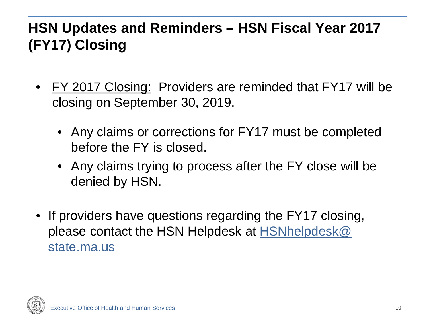# **HSN Updates and Reminders – HSN Fiscal Year 2017 (FY17) Closing**

- FY 2017 Closing: Providers are reminded that FY17 will be closing on September 30, 2019.
	- Any claims or corrections for FY17 must be completed before the FY is closed.
	- Any claims trying to process after the FY close will be denied by HSN.
- If providers have questions regarding the FY17 closing, [please contact the HSN Helpdesk at HSNhelpdesk@](mailto:hsnhelpdesk@state.ma.us)  state.ma.us

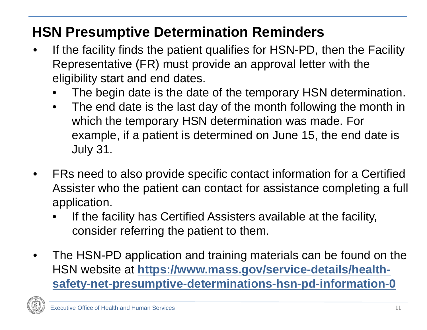#### **HSN Presumptive Determination Reminders**

- If the facility finds the patient qualifies for HSN-PD, then the Facility Representative (FR) must provide an approval letter with the eligibility start and end dates.
	- The begin date is the date of the temporary HSN determination.
	- The end date is the last day of the month following the month in which the temporary HSN determination was made. For example, if a patient is determined on June 15, the end date is July 31.
- FRs need to also provide specific contact information for a Certified Assister who the patient can contact for assistance completing a full application.
	- If the facility has Certified Assisters available at the facility, consider referring the patient to them.
- The HSN-PD application and training materials can be found on the HSN website at **https://www.mass.gov/service-details/health[safety-net-presumptive-determinations-hsn-pd-information-0](https://www.mass.gov/service-details/health-safety-net-presumptive-determinations-hsn-pd-information-0)**